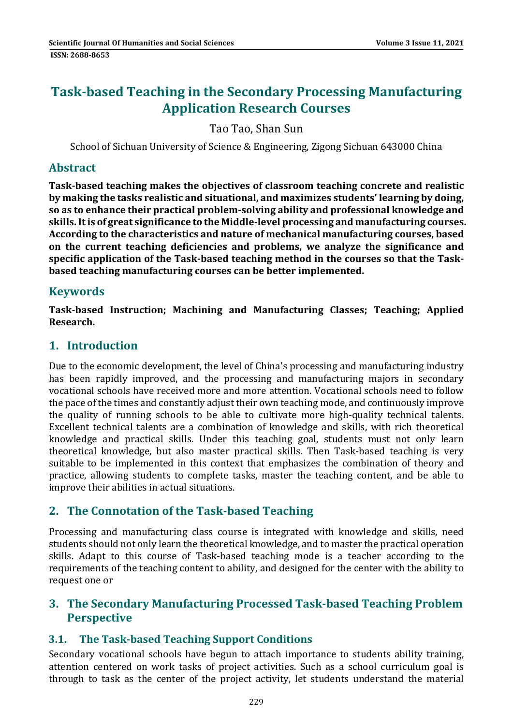# **Task‐based Teaching in the Secondary Processing Manufacturing Application Research Courses**

Tao Tao, Shan Sun

School of Sichuan University of Science & Engineering, Zigong Sichuan 643000 China

#### **Abstract**

**Task‐based teaching makes the objectives of classroom teaching concrete and realistic by making the tasks realistic and situational, and maximizes students' learning by doing, so as to enhance their practical problem‐solving ability and professional knowledge and skills.Itis of great significance to the Middle‐level processing and manufacturing courses. According to the characteristics and nature of mechanical manufacturing courses, based on the current teaching deficiencies and problems, we analyze the significance and specific application of the Task‐based teaching method in the courses so that the Task‐ based teaching manufacturing courses can be better implemented.**

#### **Keywords**

**Task‐based Instruction; Machining and Manufacturing Classes; Teaching; Applied Research.**

### **1. Introduction**

Due to the economic development, the level of China's processing and manufacturing industry has been rapidly improved, and the processing and manufacturing majors in secondary vocational schools have received more and more attention. Vocational schools need to follow the pace of the times and constantly adjust their own teaching mode, and continuously improve the quality of running schools to be able to cultivate more high-quality technical talents. Excellent technical talents are a combination of knowledge and skills, with rich theoretical knowledge and practical skills. Under this teaching goal, students must not only learn theoretical knowledge, but also master practical skills. Then Task-based teaching is very suitable to be implemented in this context that emphasizes the combination of theory and practice, allowing students to complete tasks, master the teaching content, and be able to improve their abilities in actual situations.

### **2. The Connotation of the Task‐based Teaching**

Processing and manufacturing class course is integrated with knowledge and skills, need students should not only learn the theoretical knowledge, and to master the practical operation skills. Adapt to this course of Task-based teaching mode is a teacher according to the requirements of the teaching content to ability, and designed for the center with the ability to request one or

#### **3. The Secondary Manufacturing Processed Task‐based Teaching Problem Perspective**

### **3.1. The Task‐based Teaching Support Conditions**

Secondary vocational schools have begun to attach importance to students ability training, attention centered on work tasks of project activities. Such as a school curriculum goal is through to task as the center of the project activity, let students understand the material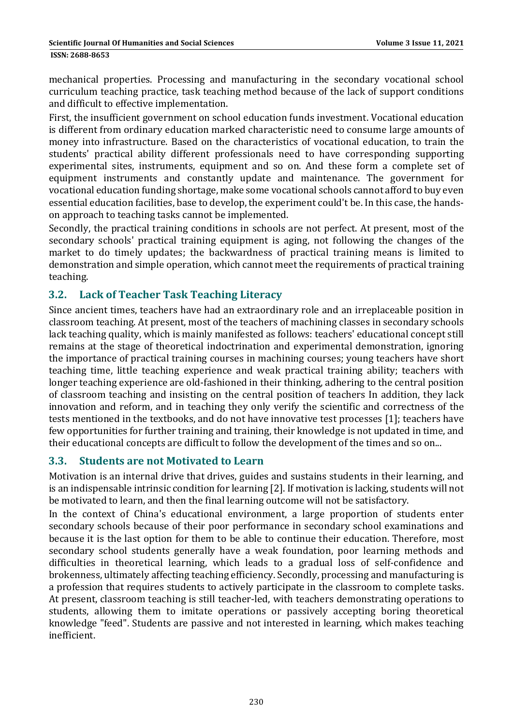#### **ISSN: 2688-8653**

mechanical properties. Processing and manufacturing in the secondary vocational school curriculum teaching practice, task teaching method because of the lack of support conditions and difficult to effective implementation.

First, the insufficient government on school education funds investment. Vocational education is different from ordinary education marked characteristic need to consume large amounts of money into infrastructure. Based on the characteristics of vocational education, to train the students' practical ability different professionals need to have corresponding supporting experimental sites, instruments, equipment and so on. And these form a complete set of equipment instruments and constantly update and maintenance. The government for vocational education funding shortage, make some vocational schools cannot afford to buy even essential education facilities, base to develop, the experiment could't be. In this case, the handson approach to teaching tasks cannot be implemented.

Secondly, the practical training conditions in schools are not perfect. At present, most of the secondary schools' practical training equipment is aging, not following the changes of the market to do timely updates; the backwardness of practical training means is limited to demonstration and simple operation, which cannot meet the requirements of practical training teaching. 

#### **3.2. Lack of Teacher Task Teaching Literacy**

Since ancient times, teachers have had an extraordinary role and an irreplaceable position in classroom teaching. At present, most of the teachers of machining classes in secondary schools lack teaching quality, which is mainly manifested as follows: teachers' educational concept still remains at the stage of theoretical indoctrination and experimental demonstration, ignoring the importance of practical training courses in machining courses; young teachers have short teaching time, little teaching experience and weak practical training ability; teachers with longer teaching experience are old-fashioned in their thinking, adhering to the central position of classroom teaching and insisting on the central position of teachers In addition, they lack innovation and reform, and in teaching they only verify the scientific and correctness of the tests mentioned in the textbooks, and do not have innovative test processes [1]; teachers have few opportunities for further training and training, their knowledge is not updated in time, and their educational concepts are difficult to follow the development of the times and so on...

#### **3.3. Students are not Motivated to Learn**

Motivation is an internal drive that drives, guides and sustains students in their learning, and is an indispensable intrinsic condition for learning [2]. If motivation is lacking, students will not be motivated to learn, and then the final learning outcome will not be satisfactory.

In the context of China's educational environment, a large proportion of students enter secondary schools because of their poor performance in secondary school examinations and because it is the last option for them to be able to continue their education. Therefore, most secondary school students generally have a weak foundation, poor learning methods and difficulties in theoretical learning, which leads to a gradual loss of self-confidence and brokenness, ultimately affecting teaching efficiency. Secondly, processing and manufacturing is a profession that requires students to actively participate in the classroom to complete tasks. At present, classroom teaching is still teacher-led, with teachers demonstrating operations to students, allowing them to imitate operations or passively accepting boring theoretical knowledge "feed". Students are passive and not interested in learning, which makes teaching inefficient.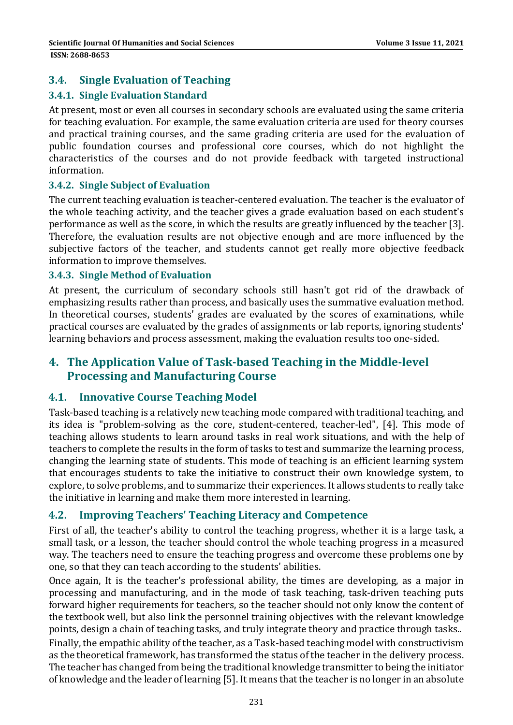### **3.4. Single Evaluation of Teaching**

#### **3.4.1. Single Evaluation Standard**

At present, most or even all courses in secondary schools are evaluated using the same criteria for teaching evaluation. For example, the same evaluation criteria are used for theory courses and practical training courses, and the same grading criteria are used for the evaluation of public foundation courses and professional core courses, which do not highlight the characteristics of the courses and do not provide feedback with targeted instructional information. 

#### **3.4.2. Single Subject of Evaluation**

The current teaching evaluation is teacher-centered evaluation. The teacher is the evaluator of the whole teaching activity, and the teacher gives a grade evaluation based on each student's performance as well as the score, in which the results are greatly influenced by the teacher [3]. Therefore, the evaluation results are not objective enough and are more influenced by the subjective factors of the teacher, and students cannot get really more objective feedback information to improve themselves.

#### **3.4.3. Single Method of Evaluation**

At present, the curriculum of secondary schools still hasn't got rid of the drawback of emphasizing results rather than process, and basically uses the summative evaluation method. In theoretical courses, students' grades are evaluated by the scores of examinations, while practical courses are evaluated by the grades of assignments or lab reports, ignoring students' learning behaviors and process assessment, making the evaluation results too one-sided.

### **4. The Application Value of Task‐based Teaching in the Middle‐level Processing and Manufacturing Course**

#### **4.1. Innovative Course Teaching Model**

Task-based teaching is a relatively new teaching mode compared with traditional teaching, and its idea is "problem-solving as the core, student-centered, teacher-led", [4]. This mode of teaching allows students to learn around tasks in real work situations, and with the help of teachers to complete the results in the form of tasks to test and summarize the learning process, changing the learning state of students. This mode of teaching is an efficient learning system that encourages students to take the initiative to construct their own knowledge system, to explore, to solve problems, and to summarize their experiences. It allows students to really take the initiative in learning and make them more interested in learning.

#### **4.2. Improving Teachers' Teaching Literacy and Competence**

First of all, the teacher's ability to control the teaching progress, whether it is a large task, a small task, or a lesson, the teacher should control the whole teaching progress in a measured way. The teachers need to ensure the teaching progress and overcome these problems one by one, so that they can teach according to the students' abilities.

Once again, It is the teacher's professional ability, the times are developing, as a major in processing and manufacturing, and in the mode of task teaching, task-driven teaching puts forward higher requirements for teachers, so the teacher should not only know the content of the textbook well, but also link the personnel training objectives with the relevant knowledge points, design a chain of teaching tasks, and truly integrate theory and practice through tasks..

Finally, the empathic ability of the teacher, as a Task-based teaching model with constructivism as the theoretical framework, has transformed the status of the teacher in the delivery process. The teacher has changed from being the traditional knowledge transmitter to being the initiator of knowledge and the leader of learning [5]. It means that the teacher is no longer in an absolute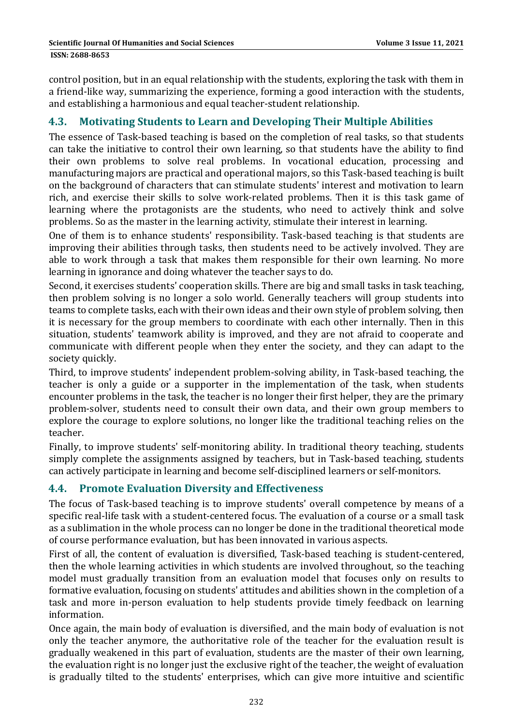control position, but in an equal relationship with the students, exploring the task with them in a friend-like way, summarizing the experience, forming a good interaction with the students, and establishing a harmonious and equal teacher-student relationship.

### **4.3. Motivating Students to Learn and Developing Their Multiple Abilities**

The essence of Task-based teaching is based on the completion of real tasks, so that students can take the initiative to control their own learning, so that students have the ability to find their own problems to solve real problems. In vocational education, processing and manufacturing majors are practical and operational majors, so this Task-based teaching is built on the background of characters that can stimulate students' interest and motivation to learn rich, and exercise their skills to solve work-related problems. Then it is this task game of learning where the protagonists are the students, who need to actively think and solve problems. So as the master in the learning activity, stimulate their interest in learning.

One of them is to enhance students' responsibility. Task-based teaching is that students are improving their abilities through tasks, then students need to be actively involved. They are able to work through a task that makes them responsible for their own learning. No more learning in ignorance and doing whatever the teacher says to do.

Second, it exercises students' cooperation skills. There are big and small tasks in task teaching, then problem solving is no longer a solo world. Generally teachers will group students into teams to complete tasks, each with their own ideas and their own style of problem solving, then it is necessary for the group members to coordinate with each other internally. Then in this situation, students' teamwork ability is improved, and they are not afraid to cooperate and communicate with different people when they enter the society, and they can adapt to the society quickly.

Third, to improve students' independent problem-solving ability, in Task-based teaching, the teacher is only a guide or a supporter in the implementation of the task, when students encounter problems in the task, the teacher is no longer their first helper, they are the primary problem-solver, students need to consult their own data, and their own group members to explore the courage to explore solutions, no longer like the traditional teaching relies on the teacher. 

Finally, to improve students' self-monitoring ability. In traditional theory teaching, students simply complete the assignments assigned by teachers, but in Task-based teaching, students can actively participate in learning and become self-disciplined learners or self-monitors.

#### **4.4. Promote Evaluation Diversity and Effectiveness**

The focus of Task-based teaching is to improve students' overall competence by means of a specific real-life task with a student-centered focus. The evaluation of a course or a small task as a sublimation in the whole process can no longer be done in the traditional theoretical mode of course performance evaluation, but has been innovated in various aspects.

First of all, the content of evaluation is diversified. Task-based teaching is student-centered, then the whole learning activities in which students are involved throughout, so the teaching model must gradually transition from an evaluation model that focuses only on results to formative evaluation, focusing on students' attitudes and abilities shown in the completion of a task and more in-person evaluation to help students provide timely feedback on learning information. 

Once again, the main body of evaluation is diversified, and the main body of evaluation is not only the teacher anymore, the authoritative role of the teacher for the evaluation result is gradually weakened in this part of evaluation, students are the master of their own learning, the evaluation right is no longer just the exclusive right of the teacher, the weight of evaluation is gradually tilted to the students' enterprises, which can give more intuitive and scientific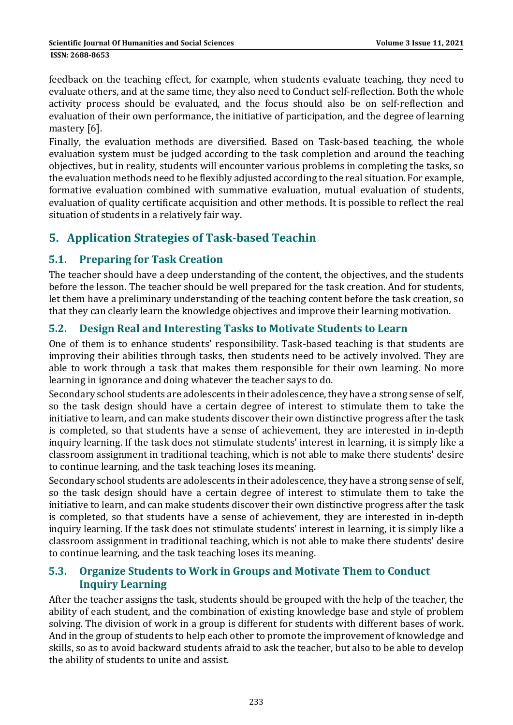feedback on the teaching effect, for example, when students evaluate teaching, they need to evaluate others, and at the same time, they also need to Conduct self-reflection. Both the whole activity process should be evaluated, and the focus should also be on self-reflection and evaluation of their own performance, the initiative of participation, and the degree of learning mastery [6].

Finally, the evaluation methods are diversified. Based on Task-based teaching, the whole evaluation system must be judged according to the task completion and around the teaching objectives, but in reality, students will encounter various problems in completing the tasks, so the evaluation methods need to be flexibly adjusted according to the real situation. For example, formative evaluation combined with summative evaluation, mutual evaluation of students, evaluation of quality certificate acquisition and other methods. It is possible to reflect the real situation of students in a relatively fair way.

## **5. Application Strategies of Task‐based Teachin**

### **5.1. Preparing for Task Creation**

The teacher should have a deep understanding of the content, the objectives, and the students before the lesson. The teacher should be well prepared for the task creation. And for students, let them have a preliminary understanding of the teaching content before the task creation, so that they can clearly learn the knowledge objectives and improve their learning motivation.

### **5.2. Design Real and Interesting Tasks to Motivate Students to Learn**

One of them is to enhance students' responsibility. Task-based teaching is that students are improving their abilities through tasks, then students need to be actively involved. They are able to work through a task that makes them responsible for their own learning. No more learning in ignorance and doing whatever the teacher says to do.

Secondary school students are adolescents in their adolescence, they have a strong sense of self, so the task design should have a certain degree of interest to stimulate them to take the initiative to learn, and can make students discover their own distinctive progress after the task is completed, so that students have a sense of achievement, they are interested in in-depth inquiry learning. If the task does not stimulate students' interest in learning, it is simply like a classroom assignment in traditional teaching, which is not able to make there students' desire to continue learning, and the task teaching loses its meaning.

Secondary school students are adolescents in their adolescence, they have a strong sense of self, so the task design should have a certain degree of interest to stimulate them to take the initiative to learn, and can make students discover their own distinctive progress after the task is completed, so that students have a sense of achievement, they are interested in in-depth inquiry learning. If the task does not stimulate students' interest in learning, it is simply like a classroom assignment in traditional teaching, which is not able to make there students' desire to continue learning, and the task teaching loses its meaning.

### **5.3. Organize Students to Work in Groups and Motivate Them to Conduct Inquiry Learning**

After the teacher assigns the task, students should be grouped with the help of the teacher, the ability of each student, and the combination of existing knowledge base and style of problem solving. The division of work in a group is different for students with different bases of work. And in the group of students to help each other to promote the improvement of knowledge and skills, so as to avoid backward students afraid to ask the teacher, but also to be able to develop the ability of students to unite and assist.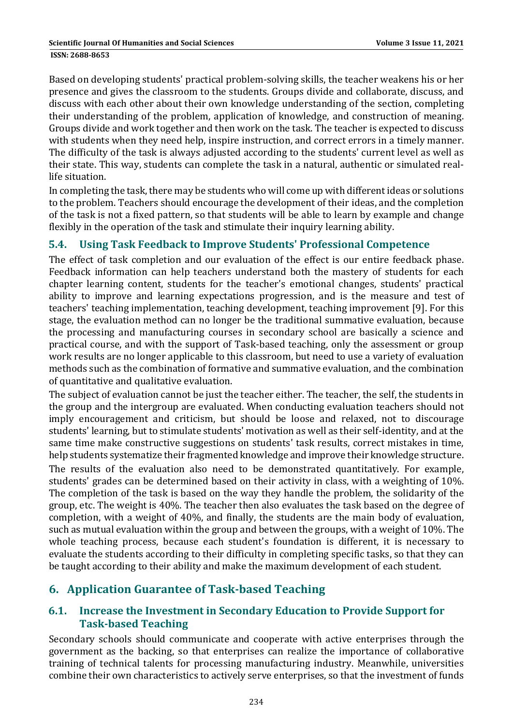Based on developing students' practical problem-solving skills, the teacher weakens his or her presence and gives the classroom to the students. Groups divide and collaborate, discuss, and discuss with each other about their own knowledge understanding of the section, completing their understanding of the problem, application of knowledge, and construction of meaning. Groups divide and work together and then work on the task. The teacher is expected to discuss with students when they need help, inspire instruction, and correct errors in a timely manner. The difficulty of the task is always adjusted according to the students' current level as well as their state. This way, students can complete the task in a natural, authentic or simulated reallife situation.

In completing the task, there may be students who will come up with different ideas or solutions to the problem. Teachers should encourage the development of their ideas, and the completion of the task is not a fixed pattern, so that students will be able to learn by example and change flexibly in the operation of the task and stimulate their inquiry learning ability.

### **5.4. Using Task Feedback to Improve Students' Professional Competence**

The effect of task completion and our evaluation of the effect is our entire feedback phase. Feedback information can help teachers understand both the mastery of students for each chapter learning content, students for the teacher's emotional changes, students' practical ability to improve and learning expectations progression, and is the measure and test of teachers' teaching implementation, teaching development, teaching improvement [9]. For this stage, the evaluation method can no longer be the traditional summative evaluation, because the processing and manufacturing courses in secondary school are basically a science and practical course, and with the support of Task-based teaching, only the assessment or group work results are no longer applicable to this classroom, but need to use a variety of evaluation methods such as the combination of formative and summative evaluation, and the combination of quantitative and qualitative evaluation.

The subject of evaluation cannot be just the teacher either. The teacher, the self, the students in the group and the intergroup are evaluated. When conducting evaluation teachers should not imply encouragement and criticism, but should be loose and relaxed, not to discourage students' learning, but to stimulate students' motivation as well as their self-identity, and at the same time make constructive suggestions on students' task results, correct mistakes in time, help students systematize their fragmented knowledge and improve their knowledge structure.

The results of the evaluation also need to be demonstrated quantitatively. For example, students' grades can be determined based on their activity in class, with a weighting of 10%. The completion of the task is based on the way they handle the problem, the solidarity of the group, etc. The weight is  $40\%$ . The teacher then also evaluates the task based on the degree of completion, with a weight of 40%, and finally, the students are the main body of evaluation, such as mutual evaluation within the group and between the groups, with a weight of 10%. The whole teaching process, because each student's foundation is different, it is necessary to evaluate the students according to their difficulty in completing specific tasks, so that they can be taught according to their ability and make the maximum development of each student.

### **6. Application Guarantee of Task‐based Teaching**

### **6.1. Increase the Investment in Secondary Education to Provide Support for Task‐based Teaching**

Secondary schools should communicate and cooperate with active enterprises through the government as the backing, so that enterprises can realize the importance of collaborative training of technical talents for processing manufacturing industry. Meanwhile, universities combine their own characteristics to actively serve enterprises, so that the investment of funds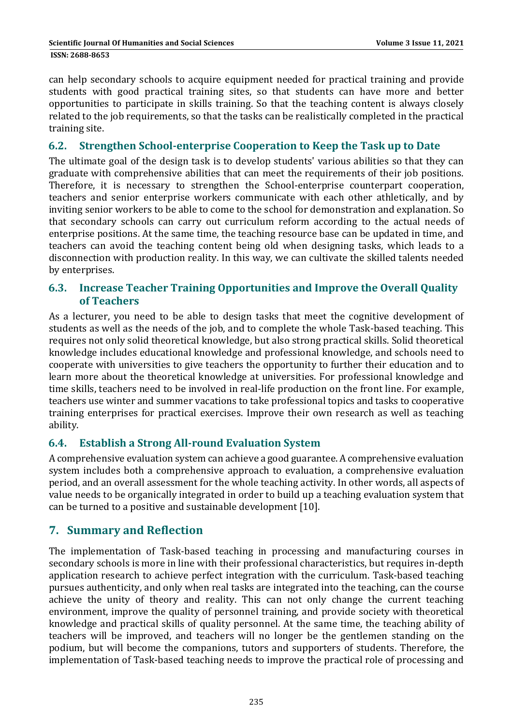can help secondary schools to acquire equipment needed for practical training and provide students with good practical training sites, so that students can have more and better opportunities to participate in skills training. So that the teaching content is always closely related to the job requirements, so that the tasks can be realistically completed in the practical training site.

#### **6.2. Strengthen School‐enterprise Cooperation to Keep the Task up to Date**

The ultimate goal of the design task is to develop students' various abilities so that they can graduate with comprehensive abilities that can meet the requirements of their job positions. Therefore, it is necessary to strengthen the School-enterprise counterpart cooperation, teachers and senior enterprise workers communicate with each other athletically, and by inviting senior workers to be able to come to the school for demonstration and explanation. So that secondary schools can carry out curriculum reform according to the actual needs of enterprise positions. At the same time, the teaching resource base can be updated in time, and teachers can avoid the teaching content being old when designing tasks, which leads to a disconnection with production reality. In this way, we can cultivate the skilled talents needed by enterprises.

#### **6.3. Increase Teacher Training Opportunities and Improve the Overall Quality of Teachers**

As a lecturer, you need to be able to design tasks that meet the cognitive development of students as well as the needs of the job, and to complete the whole Task-based teaching. This requires not only solid theoretical knowledge, but also strong practical skills. Solid theoretical knowledge includes educational knowledge and professional knowledge, and schools need to cooperate with universities to give teachers the opportunity to further their education and to learn more about the theoretical knowledge at universities. For professional knowledge and time skills, teachers need to be involved in real-life production on the front line. For example, teachers use winter and summer vacations to take professional topics and tasks to cooperative training enterprises for practical exercises. Improve their own research as well as teaching ability. 

#### **6.4. Establish a Strong All‐round Evaluation System**

A comprehensive evaluation system can achieve a good guarantee. A comprehensive evaluation system includes both a comprehensive approach to evaluation, a comprehensive evaluation period, and an overall assessment for the whole teaching activity. In other words, all aspects of value needs to be organically integrated in order to build up a teaching evaluation system that can be turned to a positive and sustainable development [10].

### **7. Summary and Reflection**

The implementation of Task-based teaching in processing and manufacturing courses in secondary schools is more in line with their professional characteristics, but requires in-depth application research to achieve perfect integration with the curriculum. Task-based teaching pursues authenticity, and only when real tasks are integrated into the teaching, can the course achieve the unity of theory and reality. This can not only change the current teaching environment, improve the quality of personnel training, and provide society with theoretical knowledge and practical skills of quality personnel. At the same time, the teaching ability of teachers will be improved, and teachers will no longer be the gentlemen standing on the podium, but will become the companions, tutors and supporters of students. Therefore, the implementation of Task-based teaching needs to improve the practical role of processing and